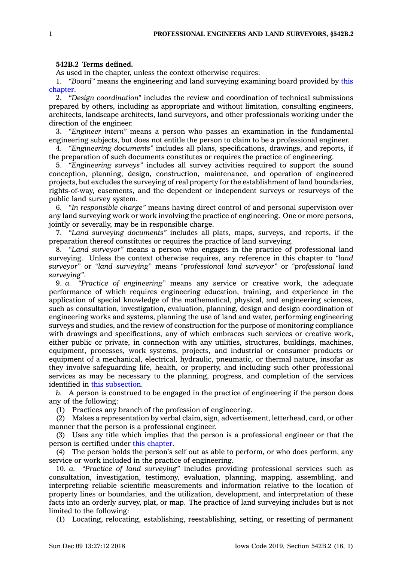## **542B.2 Terms defined.**

As used in the chapter, unless the context otherwise requires:

1. *"Board"* means the engineering and land surveying examining board provided by [this](https://www.legis.iowa.gov/docs/code//542B.pdf) [chapter](https://www.legis.iowa.gov/docs/code//542B.pdf).

2. *"Design coordination"* includes the review and coordination of technical submissions prepared by others, including as appropriate and without limitation, consulting engineers, architects, landscape architects, land surveyors, and other professionals working under the direction of the engineer.

3. *"Engineer intern"* means <sup>a</sup> person who passes an examination in the fundamental engineering subjects, but does not entitle the person to claim to be <sup>a</sup> professional engineer.

4. *"Engineering documents"* includes all plans, specifications, drawings, and reports, if the preparation of such documents constitutes or requires the practice of engineering.

5. *"Engineering surveys"* includes all survey activities required to support the sound conception, planning, design, construction, maintenance, and operation of engineered projects, but excludes the surveying of real property for the establishment of land boundaries, rights-of-way, easements, and the dependent or independent surveys or resurveys of the public land survey system.

6. *"In responsible charge"* means having direct control of and personal supervision over any land surveying work or work involving the practice of engineering. One or more persons, jointly or severally, may be in responsible charge.

7. *"Land surveying documents"* includes all plats, maps, surveys, and reports, if the preparation thereof constitutes or requires the practice of land surveying.

8. *"Land surveyor"* means <sup>a</sup> person who engages in the practice of professional land surveying. Unless the context otherwise requires, any reference in this chapter to *"land surveyor"* or *"land surveying"* means *"professional land surveyor"* or *"professional land surveying"*.

9. *a. "Practice of engineering"* means any service or creative work, the adequate performance of which requires engineering education, training, and experience in the application of special knowledge of the mathematical, physical, and engineering sciences, such as consultation, investigation, evaluation, planning, design and design coordination of engineering works and systems, planning the use of land and water, performing engineering surveys and studies, and the review of construction for the purpose of monitoring compliance with drawings and specifications, any of which embraces such services or creative work, either public or private, in connection with any utilities, structures, buildings, machines, equipment, processes, work systems, projects, and industrial or consumer products or equipment of <sup>a</sup> mechanical, electrical, hydraulic, pneumatic, or thermal nature, insofar as they involve safeguarding life, health, or property, and including such other professional services as may be necessary to the planning, progress, and completion of the services identified in this [subsection](https://www.legis.iowa.gov/docs/code/542B.2.pdf).

*b.* A person is construed to be engaged in the practice of engineering if the person does any of the following:

(1) Practices any branch of the profession of engineering.

(2) Makes <sup>a</sup> representation by verbal claim, sign, advertisement, letterhead, card, or other manner that the person is <sup>a</sup> professional engineer.

(3) Uses any title which implies that the person is <sup>a</sup> professional engineer or that the person is certified under this [chapter](https://www.legis.iowa.gov/docs/code//542B.pdf).

(4) The person holds the person's self out as able to perform, or who does perform, any service or work included in the practice of engineering.

10. *a. "Practice of land surveying"* includes providing professional services such as consultation, investigation, testimony, evaluation, planning, mapping, assembling, and interpreting reliable scientific measurements and information relative to the location of property lines or boundaries, and the utilization, development, and interpretation of these facts into an orderly survey, plat, or map. The practice of land surveying includes but is not limited to the following:

(1) Locating, relocating, establishing, reestablishing, setting, or resetting of permanent